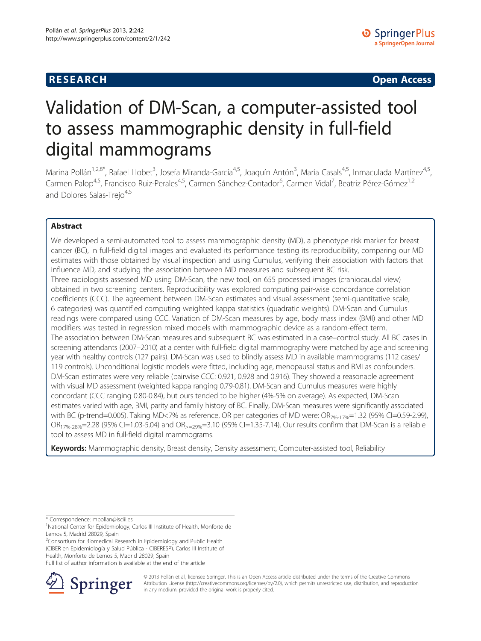# **RESEARCH CHINESE ARCH CHINESE ARCH CHINESE ARCH <b>CHINESE ARCH**

# Validation of DM-Scan, a computer-assisted tool to assess mammographic density in full-field digital mammograms

Marina Pollán<sup>1,2,8\*</sup>, Rafael Llobet<sup>3</sup>, Josefa Miranda-García<sup>4,5</sup>, Joaquín Antón<sup>3</sup>, María Casals<sup>4,5</sup>, Inmaculada Martínez<sup>4,5</sup>, Carmen Palop<sup>4,5</sup>, Francisco Ruiz-Perales<sup>4,5</sup>, Carmen Sánchez-Contador<sup>6</sup>, Carmen Vidal<sup>7</sup>, Beatriz Pérez-Gómez<sup>1,2</sup> and Dolores Salas-Trejo<sup>4,5</sup>

# Abstract

We developed a semi-automated tool to assess mammographic density (MD), a phenotype risk marker for breast cancer (BC), in full-field digital images and evaluated its performance testing its reproducibility, comparing our MD estimates with those obtained by visual inspection and using Cumulus, verifying their association with factors that influence MD, and studying the association between MD measures and subsequent BC risk. Three radiologists assessed MD using DM-Scan, the new tool, on 655 processed images (craniocaudal view) obtained in two screening centers. Reproducibility was explored computing pair-wise concordance correlation coefficients (CCC). The agreement between DM-Scan estimates and visual assessment (semi-quantitative scale, 6 categories) was quantified computing weighted kappa statistics (quadratic weights). DM-Scan and Cumulus readings were compared using CCC. Variation of DM-Scan measures by age, body mass index (BMI) and other MD modifiers was tested in regression mixed models with mammographic device as a random-effect term. The association between DM-Scan measures and subsequent BC was estimated in a case–control study. All BC cases in screening attendants (2007–2010) at a center with full-field digital mammography were matched by age and screening year with healthy controls (127 pairs). DM-Scan was used to blindly assess MD in available mammograms (112 cases/ 119 controls). Unconditional logistic models were fitted, including age, menopausal status and BMI as confounders. DM-Scan estimates were very reliable (pairwise CCC: 0.921, 0.928 and 0.916). They showed a reasonable agreement with visual MD assessment (weighted kappa ranging 0.79-0.81). DM-Scan and Cumulus measures were highly concordant (CCC ranging 0.80-0.84), but ours tended to be higher (4%-5% on average). As expected, DM-Scan estimates varied with age, BMI, parity and family history of BC. Finally, DM-Scan measures were significantly associated with BC (p-trend=0.005). Taking MD<7% as reference, OR per categories of MD were: OR<sub>7%-17%</sub>=1.32 (95% CI=0.59-2.99),  $OR_{17\%-28\%}=2.28$  (95% CI=1.03-5.04) and  $OR_{3=29\%}=3.10$  (95% CI=1.35-7.14). Our results confirm that DM-Scan is a reliable tool to assess MD in full-field digital mammograms.

Keywords: Mammographic density, Breast density, Density assessment, Computer-assisted tool, Reliability

\* Correspondence: [mpollan@isciii.es](mailto:mpollan@isciii.es) <sup>1</sup>

<sup>1</sup>National Center for Epidemiology, Carlos III Institute of Health, Monforte de Lemos 5, Madrid 28029, Spain

<sup>2</sup> Consortium for Biomedical Research in Epidemiology and Public Health (CIBER en Epidemiología y Salud Pública - CIBERESP), Carlos III Institute of Health, Monforte de Lemos 5, Madrid 28029, Spain

Full list of author information is available at the end of the article



© 2013 Pollán et al.; licensee Springer. This is an Open Access article distributed under the terms of the Creative Commons Attribution License [\(http://creativecommons.org/licenses/by/2.0\)](http://creativecommons.org/licenses/by/2.0), which permits unrestricted use, distribution, and reproduction in any medium, provided the original work is properly cited.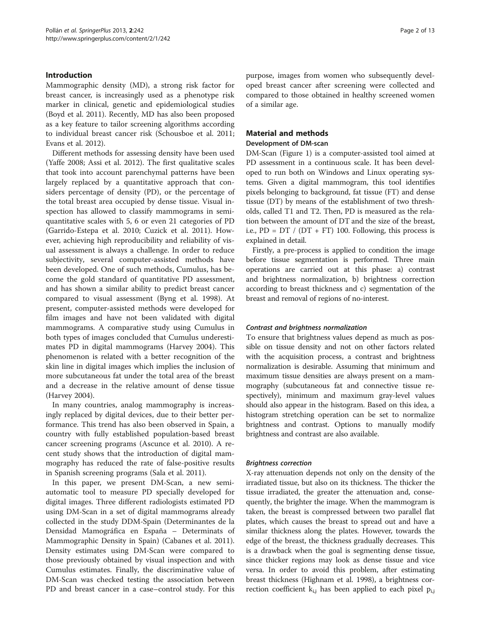## <span id="page-1-0"></span>Introduction

Mammographic density (MD), a strong risk factor for breast cancer, is increasingly used as a phenotype risk marker in clinical, genetic and epidemiological studies (Boyd et al. [2011](#page-11-0)). Recently, MD has also been proposed as a key feature to tailor screening algorithms according to individual breast cancer risk (Schousboe et al. [2011](#page-11-0); Evans et al. [2012](#page-11-0)).

Different methods for assessing density have been used (Yaffe [2008](#page-12-0); Assi et al. [2012](#page-11-0)). The first qualitative scales that took into account parenchymal patterns have been largely replaced by a quantitative approach that considers percentage of density (PD), or the percentage of the total breast area occupied by dense tissue. Visual inspection has allowed to classify mammograms in semiquantitative scales with 5, 6 or even 21 categories of PD (Garrido-Estepa et al. [2010](#page-11-0); Cuzick et al. [2011](#page-11-0)). However, achieving high reproducibility and reliability of visual assessment is always a challenge. In order to reduce subjectivity, several computer-assisted methods have been developed. One of such methods, Cumulus, has become the gold standard of quantitative PD assessment, and has shown a similar ability to predict breast cancer compared to visual assessment (Byng et al. [1998\)](#page-11-0). At present, computer-assisted methods were developed for film images and have not been validated with digital mammograms. A comparative study using Cumulus in both types of images concluded that Cumulus underestimates PD in digital mammograms (Harvey [2004\)](#page-11-0). This phenomenon is related with a better recognition of the skin line in digital images which implies the inclusion of more subcutaneous fat under the total area of the breast and a decrease in the relative amount of dense tissue (Harvey [2004\)](#page-11-0).

In many countries, analog mammography is increasingly replaced by digital devices, due to their better performance. This trend has also been observed in Spain, a country with fully established population-based breast cancer screening programs (Ascunce et al. [2010\)](#page-11-0). A recent study shows that the introduction of digital mammography has reduced the rate of false-positive results in Spanish screening programs (Sala et al. [2011](#page-11-0)).

In this paper, we present DM-Scan, a new semiautomatic tool to measure PD specially developed for digital images. Three different radiologists estimated PD using DM-Scan in a set of digital mammograms already collected in the study DDM-Spain (Determinantes de la Densidad Mamográfica en España – Determinats of Mammographic Density in Spain) (Cabanes et al. [2011](#page-11-0)). Density estimates using DM-Scan were compared to those previously obtained by visual inspection and with Cumulus estimates. Finally, the discriminative value of DM-Scan was checked testing the association between PD and breast cancer in a case–control study. For this

purpose, images from women who subsequently developed breast cancer after screening were collected and compared to those obtained in healthy screened women of a similar age.

# Material and methods

# Development of DM-scan

DM-Scan (Figure [1](#page-2-0)) is a computer-assisted tool aimed at PD assessment in a continuous scale. It has been developed to run both on Windows and Linux operating systems. Given a digital mammogram, this tool identifies pixels belonging to background, fat tissue (FT) and dense tissue (DT) by means of the establishment of two thresholds, called T1 and T2. Then, PD is measured as the relation between the amount of DT and the size of the breast, i.e.,  $PD = DT / (DT + FT)$  100. Following, this process is explained in detail.

Firstly, a pre-process is applied to condition the image before tissue segmentation is performed. Three main operations are carried out at this phase: a) contrast and brightness normalization, b) brightness correction according to breast thickness and c) segmentation of the breast and removal of regions of no-interest.

## Contrast and brightness normalization

To ensure that brightness values depend as much as possible on tissue density and not on other factors related with the acquisition process, a contrast and brightness normalization is desirable. Assuming that minimum and maximum tissue densities are always present on a mammography (subcutaneous fat and connective tissue respectively), minimum and maximum gray-level values should also appear in the histogram. Based on this idea, a histogram stretching operation can be set to normalize brightness and contrast. Options to manually modify brightness and contrast are also available.

## Brightness correction

X-ray attenuation depends not only on the density of the irradiated tissue, but also on its thickness. The thicker the tissue irradiated, the greater the attenuation and, consequently, the brighter the image. When the mammogram is taken, the breast is compressed between two parallel flat plates, which causes the breast to spread out and have a similar thickness along the plates. However, towards the edge of the breast, the thickness gradually decreases. This is a drawback when the goal is segmenting dense tissue, since thicker regions may look as dense tissue and vice versa. In order to avoid this problem, after estimating breast thickness (Highnam et al. [1998\)](#page-11-0), a brightness correction coefficient  $k_{i,j}$  has been applied to each pixel  $p_{i,j}$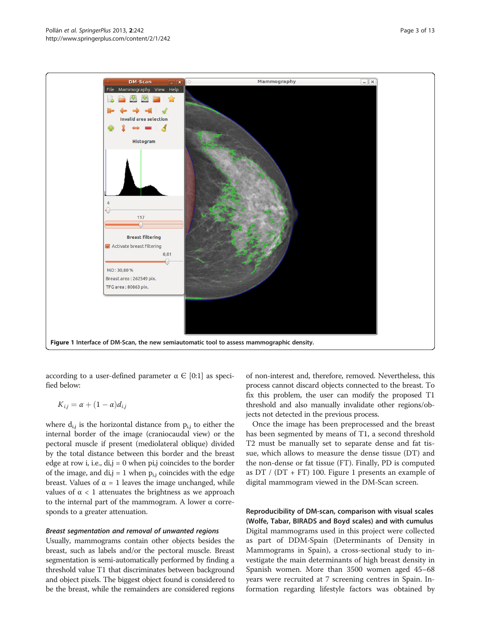<span id="page-2-0"></span>

according to a user-defined parameter  $\alpha \in [0:1]$  as specified below:

$$
K_{i,j} = \alpha + (1 - \alpha)d_{i,j}
$$

where  $d_{i,j}$  is the horizontal distance from  $p_{i,j}$  to either the internal border of the image (craniocaudal view) or the pectoral muscle if present (mediolateral oblique) divided by the total distance between this border and the breast edge at row i, i.e., di,j = 0 when pi,j coincides to the border of the image, and di,j = 1 when  $p_{i,j}$  coincides with the edge breast. Values of  $\alpha$  = 1 leaves the image unchanged, while values of α < 1 attenuates the brightness as we approach to the internal part of the mammogram. A lower α corresponds to a greater attenuation.

#### Breast segmentation and removal of unwanted regions

Usually, mammograms contain other objects besides the breast, such as labels and/or the pectoral muscle. Breast segmentation is semi-automatically performed by finding a threshold value T1 that discriminates between background and object pixels. The biggest object found is considered to be the breast, while the remainders are considered regions

of non-interest and, therefore, removed. Nevertheless, this process cannot discard objects connected to the breast. To fix this problem, the user can modify the proposed T1 threshold and also manually invalidate other regions/objects not detected in the previous process.

Once the image has been preprocessed and the breast has been segmented by means of T1, a second threshold T2 must be manually set to separate dense and fat tissue, which allows to measure the dense tissue (DT) and the non-dense or fat tissue (FT). Finally, PD is computed as DT / (DT + FT) 100. Figure 1 presents an example of digital mammogram viewed in the DM-Scan screen.

Reproducibility of DM-scan, comparison with visual scales (Wolfe, Tabar, BIRADS and Boyd scales) and with cumulus Digital mammograms used in this project were collected as part of DDM-Spain (Determinants of Density in Mammograms in Spain), a cross-sectional study to investigate the main determinants of high breast density in Spanish women. More than 3500 women aged 45–68 years were recruited at 7 screening centres in Spain. Information regarding lifestyle factors was obtained by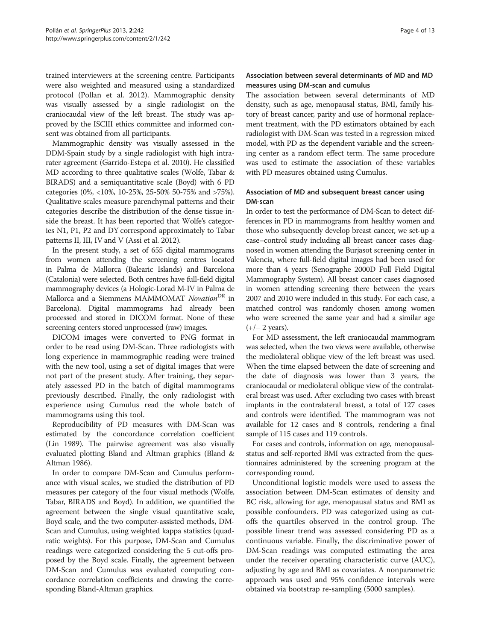trained interviewers at the screening centre. Participants were also weighted and measured using a standardized protocol (Pollan et al. [2012](#page-11-0)). Mammographic density was visually assessed by a single radiologist on the craniocaudal view of the left breast. The study was approved by the ISCIII ethics committee and informed consent was obtained from all participants.

Mammographic density was visually assessed in the DDM-Spain study by a single radiologist with high intrarater agreement (Garrido-Estepa et al. [2010\)](#page-11-0). He classified MD according to three qualitative scales (Wolfe, Tabar & BIRADS) and a semiquantitative scale (Boyd) with 6 PD categories (0%, <10%, 10-25%, 25-50% 50-75% and >75%). Qualitative scales measure parenchymal patterns and their categories describe the distribution of the dense tissue inside the breast. It has been reported that Wolfe's categories N1, P1, P2 and DY correspond approximately to Tabar patterns II, III, IV and V (Assi et al. [2012\)](#page-11-0).

In the present study, a set of 655 digital mammograms from women attending the screening centres located in Palma de Mallorca (Balearic Islands) and Barcelona (Catalonia) were selected. Both centres have full-field digital mammography devices (a Hologic-Lorad M-IV in Palma de Mallorca and a Siemmens MAMMOMAT Novation<sup>DR</sup> in Barcelona). Digital mammograms had already been processed and stored in DICOM format. None of these screening centers stored unprocessed (raw) images.

DICOM images were converted to PNG format in order to be read using DM-Scan. Three radiologists with long experience in mammographic reading were trained with the new tool, using a set of digital images that were not part of the present study. After training, they separately assessed PD in the batch of digital mammograms previously described. Finally, the only radiologist with experience using Cumulus read the whole batch of mammograms using this tool.

Reproducibility of PD measures with DM-Scan was estimated by the concordance correlation coefficient (Lin [1989](#page-11-0)). The pairwise agreement was also visually evaluated plotting Bland and Altman graphics (Bland & Altman [1986\)](#page-11-0).

In order to compare DM-Scan and Cumulus performance with visual scales, we studied the distribution of PD measures per category of the four visual methods (Wolfe, Tabar, BIRADS and Boyd). In addition, we quantified the agreement between the single visual quantitative scale, Boyd scale, and the two computer-assisted methods, DM-Scan and Cumulus, using weighted kappa statistics (quadratic weights). For this purpose, DM-Scan and Cumulus readings were categorized considering the 5 cut-offs proposed by the Boyd scale. Finally, the agreement between DM-Scan and Cumulus was evaluated computing concordance correlation coefficients and drawing the corresponding Bland-Altman graphics.

# Association between several determinants of MD and MD measures using DM-scan and cumulus

The association between several determinants of MD density, such as age, menopausal status, BMI, family history of breast cancer, parity and use of hormonal replacement treatment, with the PD estimators obtained by each radiologist with DM-Scan was tested in a regression mixed model, with PD as the dependent variable and the screening center as a random effect term. The same procedure was used to estimate the association of these variables with PD measures obtained using Cumulus.

# Association of MD and subsequent breast cancer using DM-scan

In order to test the performance of DM-Scan to detect differences in PD in mammograms from healthy women and those who subsequently develop breast cancer, we set-up a case–control study including all breast cancer cases diagnosed in women attending the Burjasot screening center in Valencia, where full-field digital images had been used for more than 4 years (Senographe 2000D Full Field Digital Mammography System). All breast cancer cases diagnosed in women attending screening there between the years 2007 and 2010 were included in this study. For each case, a matched control was randomly chosen among women who were screened the same year and had a similar age (+/− 2 years).

For MD assessment, the left craniocaudal mammogram was selected, when the two views were available, otherwise the mediolateral oblique view of the left breast was used. When the time elapsed between the date of screening and the date of diagnosis was lower than 3 years, the craniocaudal or mediolateral oblique view of the contralateral breast was used. After excluding two cases with breast implants in the contralateral breast, a total of 127 cases and controls were identified. The mammogram was not available for 12 cases and 8 controls, rendering a final sample of 115 cases and 119 controls.

For cases and controls, information on age, menopausalstatus and self-reported BMI was extracted from the questionnaires administered by the screening program at the corresponding round.

Unconditional logistic models were used to assess the association between DM-Scan estimates of density and BC risk, allowing for age, menopausal status and BMI as possible confounders. PD was categorized using as cutoffs the quartiles observed in the control group. The possible linear trend was assessed considering PD as a continuous variable. Finally, the discriminative power of DM-Scan readings was computed estimating the area under the receiver operating characteristic curve (AUC), adjusting by age and BMI as covariates. A nonparametric approach was used and 95% confidence intervals were obtained via bootstrap re-sampling (5000 samples).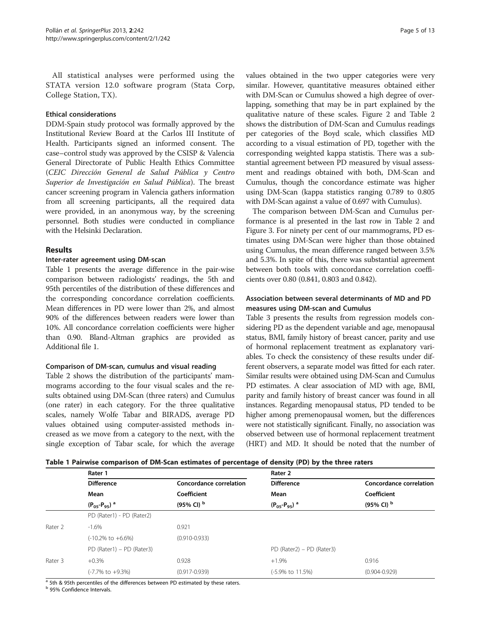All statistical analyses were performed using the STATA version 12.0 software program (Stata Corp, College Station, TX).

#### Ethical considerations

DDM-Spain study protocol was formally approved by the Institutional Review Board at the Carlos III Institute of Health. Participants signed an informed consent. The case–control study was approved by the CSISP & Valencia General Directorate of Public Health Ethics Committee (CEIC Dirección General de Salud Pública y Centro Superior de Investigación en Salud Pública). The breast cancer screening program in Valencia gathers information from all screening participants, all the required data were provided, in an anonymous way, by the screening personnel. Both studies were conducted in compliance with the Helsinki Declaration.

## Results

## Inter-rater agreement using DM-scan

Table 1 presents the average difference in the pair-wise comparison between radiologists' readings, the 5th and 95th percentiles of the distribution of these differences and the corresponding concordance correlation coefficients. Mean differences in PD were lower than 2%, and almost 90% of the differences between readers were lower than 10%. All concordance correlation coefficients were higher than 0.90. Bland-Altman graphics are provided as Additional file [1](#page-11-0).

## Comparison of DM-scan, cumulus and visual reading

Table [2](#page-5-0) shows the distribution of the participants' mammograms according to the four visual scales and the results obtained using DM-Scan (three raters) and Cumulus (one rater) in each category. For the three qualitative scales, namely Wolfe Tabar and BIRADS, average PD values obtained using computer-assisted methods increased as we move from a category to the next, with the single exception of Tabar scale, for which the average values obtained in the two upper categories were very similar. However, quantitative measures obtained either with DM-Scan or Cumulus showed a high degree of overlapping, something that may be in part explained by the qualitative nature of these scales. Figure [2](#page-7-0) and Table [2](#page-5-0) shows the distribution of DM-Scan and Cumulus readings per categories of the Boyd scale, which classifies MD according to a visual estimation of PD, together with the corresponding weighted kappa statistis. There was a substantial agreement between PD measured by visual assessment and readings obtained with both, DM-Scan and Cumulus, though the concordance estimate was higher using DM-Scan (kappa statistics ranging 0.789 to 0.805 with DM-Scan against a value of 0.697 with Cumulus).

The comparison between DM-Scan and Cumulus performance is al presented in the last row in Table [2](#page-5-0) and Figure [3](#page-7-0). For ninety per cent of our mammograms, PD estimates using DM-Scan were higher than those obtained using Cumulus, the mean difference ranged between 3.5% and 5.3%. In spite of this, there was substantial agreement between both tools with concordance correlation coefficients over 0.80 (0.841, 0.803 and 0.842).

## Association between several determinants of MD and PD measures using DM-scan and Cumulus

Table [3](#page-8-0) presents the results from regression models considering PD as the dependent variable and age, menopausal status, BMI, family history of breast cancer, parity and use of hormonal replacement treatment as explanatory variables. To check the consistency of these results under different observers, a separate model was fitted for each rater. Similar results were obtained using DM-Scan and Cumulus PD estimates. A clear association of MD with age, BMI, parity and family history of breast cancer was found in all instances. Regarding menopausal status, PD tended to be higher among premenopausal women, but the differences were not statistically significant. Finally, no association was observed between use of hormonal replacement treatment (HRT) and MD. It should be noted that the number of

|  |  | Table 1 Pairwise comparison of DM-Scan estimates of percentage of density (PD) by the three raters |  |  |
|--|--|----------------------------------------------------------------------------------------------------|--|--|
|--|--|----------------------------------------------------------------------------------------------------|--|--|

|         | Rater 1                          |                         | Rater 2                        |                                |  |  |  |
|---------|----------------------------------|-------------------------|--------------------------------|--------------------------------|--|--|--|
|         | <b>Difference</b>                | Concordance correlation | <b>Difference</b>              | Concordance correlation        |  |  |  |
|         | Coefficient<br>Mean              |                         | Mean                           | Coefficient                    |  |  |  |
|         | $(P_{05} - P_{95})$ <sup>a</sup> | (95% CI) $^{\rm b}$     | $(P_{05}-P_{95})$ <sup>a</sup> | $(95\% \text{ Cl})^{\text{b}}$ |  |  |  |
|         | PD (Rater1) - PD (Rater2)        |                         |                                |                                |  |  |  |
| Rater 2 | $-1.6\%$                         | 0.921                   |                                |                                |  |  |  |
|         | $(-10.2\% \text{ to } +6.6\%)$   | $(0.910 - 0.933)$       |                                |                                |  |  |  |
|         | PD (Rater1) - PD (Rater3)        |                         | PD (Rater2) - PD (Rater3)      |                                |  |  |  |
| Rater 3 | $+0.3\%$                         | 0.928                   | $+1.9%$                        | 0.916                          |  |  |  |
|         | $(-7.7\% \text{ to } +9.3\%)$    | $(0.917 - 0.939)$       | (-5.9% to 11.5%)               | $(0.904 - 0.929)$              |  |  |  |

<sup>a</sup> 5th & 95th percentiles of the differences between PD estimated by these raters.

b 95% Confidence Intervals.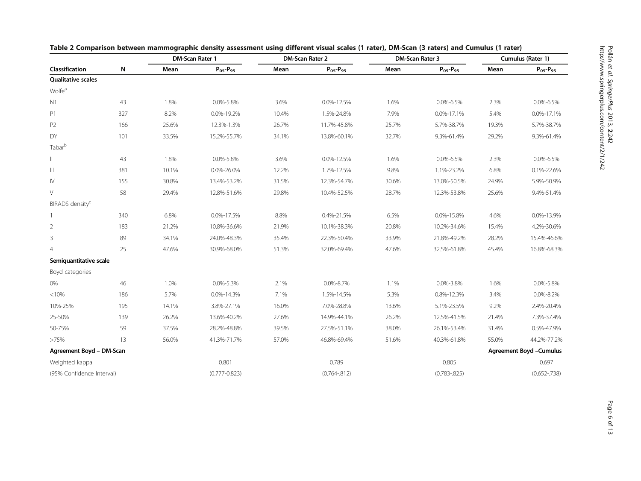|                             |     |       | DM-Scan Rater 1   |       | DM-Scan Rater 2   |       | DM-Scan Rater 3   |       | Cumulus (Rater 1)       |
|-----------------------------|-----|-------|-------------------|-------|-------------------|-------|-------------------|-------|-------------------------|
| Classification              | N   | Mean  | $P_{05} - P_{95}$ | Mean  | $P_{05} - P_{95}$ | Mean  | $P_{05} - P_{95}$ | Mean  | $P_{05} - P_{95}$       |
| <b>Qualitative scales</b>   |     |       |                   |       |                   |       |                   |       |                         |
| Wolfe <sup>a</sup>          |     |       |                   |       |                   |       |                   |       |                         |
| N1                          | 43  | 1.8%  | 0.0%-5.8%         | 3.6%  | 0.0%-12.5%        | 1.6%  | 0.0%-6.5%         | 2.3%  | 0.0%-6.5%               |
| P1                          | 327 | 8.2%  | 0.0%-19.2%        | 10.4% | 1.5%-24.8%        | 7.9%  | 0.0%-17.1%        | 5.4%  | 0.0%-17.1%              |
| P <sub>2</sub>              | 166 | 25.6% | 12.3%-1.3%        | 26.7% | 11.7%-45.8%       | 25.7% | 5.7%-38.7%        | 19.3% | 5.7%-38.7%              |
| DY                          | 101 | 33.5% | 15.2%-55.7%       | 34.1% | 13.8%-60.1%       | 32.7% | 9.3%-61.4%        | 29.2% | 9.3%-61.4%              |
| Tabar <sup>b</sup>          |     |       |                   |       |                   |       |                   |       |                         |
| $\mathbb{H}$                | 43  | 1.8%  | 0.0%-5.8%         | 3.6%  | 0.0%-12.5%        | 1.6%  | 0.0%-6.5%         | 2.3%  | 0.0%-6.5%               |
| $\  \cdot \ $               | 381 | 10.1% | 0.0%-26.0%        | 12.2% | 1.7%-12.5%        | 9.8%  | 1.1%-23.2%        | 6.8%  | 0.1%-22.6%              |
| ${\sf IV}$                  | 155 | 30.8% | 13.4%-53.2%       | 31.5% | 12.3%-54.7%       | 30.6% | 13.0%-50.5%       | 24.9% | 5.9%-50.9%              |
| V                           | 58  | 29.4% | 12.8%-51.6%       | 29.8% | 10.4%-52.5%       | 28.7% | 12.3%-53.8%       | 25.6% | 9.4%-51.4%              |
| BIRADS density <sup>c</sup> |     |       |                   |       |                   |       |                   |       |                         |
| 1                           | 340 | 6.8%  | 0.0%-17.5%        | 8.8%  | 0.4%-21.5%        | 6.5%  | 0.0%-15.8%        | 4.6%  | 0.0%-13.9%              |
| $\overline{2}$              | 183 | 21.2% | 10.8%-36.6%       | 21.9% | 10.1%-38.3%       | 20.8% | 10.2%-34.6%       | 15.4% | 4.2%-30.6%              |
| 3                           | 89  | 34.1% | 24.0%-48.3%       | 35.4% | 22.3%-50.4%       | 33.9% | 21.8%-49.2%       | 28.2% | 15.4%-46.6%             |
| 4                           | 25  | 47.6% | 30.9%-68.0%       | 51.3% | 32.0%-69.4%       | 47.6% | 32.5%-61.8%       | 45.4% | 16.8%-68.3%             |
| Semiquantitative scale      |     |       |                   |       |                   |       |                   |       |                         |
| Boyd categories             |     |       |                   |       |                   |       |                   |       |                         |
| $0\%$                       | 46  | 1.0%  | 0.0%-5.3%         | 2.1%  | 0.0%-8.7%         | 1.1%  | 0.0%-3.8%         | 1.6%  | 0.0%-5.8%               |
| < 10%                       | 186 | 5.7%  | 0.0%-14.3%        | 7.1%  | 1.5%-14.5%        | 5.3%  | 0.8%-12.3%        | 3.4%  | 0.0%-8.2%               |
| 10%-25%                     | 195 | 14.1% | 3.8%-27.1%        | 16.0% | 7.0%-28.8%        | 13.6% | 5.1%-23.5%        | 9.2%  | 2.4%-20.4%              |
| 25-50%                      | 139 | 26.2% | 13.6%-40.2%       | 27.6% | 14.9%-44.1%       | 26.2% | 12.5%-41.5%       | 21.4% | 7.3%-37.4%              |
| 50-75%                      | 59  | 37.5% | 28.2%-48.8%       | 39.5% | 27.5%-51.1%       | 38.0% | 26.1%-53.4%       | 31.4% | 0.5%-47.9%              |
| >75%                        | 13  | 56.0% | 41.3%-71.7%       | 57.0% | 46.8%-69.4%       | 51.6% | 40.3%-61.8%       | 55.0% | 44.2%-77.2%             |
| Agreement Boyd - DM-Scan    |     |       |                   |       |                   |       |                   |       | Agreement Boyd -Cumulus |
| Weighted kappa              |     |       | 0.801             |       | 0.789             |       | 0.805             |       | 0.697                   |
| (95% Confidence Interval)   |     |       | $(0.777 - 0.823)$ |       | $(0.764 - 812)$   |       | $(0.783 - .825)$  |       | $(0.652 - .738)$        |

<span id="page-5-0"></span>

|  | Table 2 Comparison between mammographic density assessment using different visual scales (1 rater), DM-Scan (3 raters) and Cumulus (1 rater) |  |
|--|----------------------------------------------------------------------------------------------------------------------------------------------|--|
|--|----------------------------------------------------------------------------------------------------------------------------------------------|--|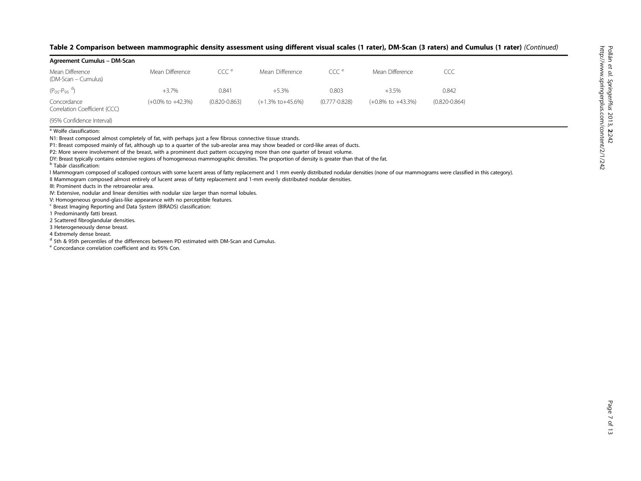#### Table 2 Comparison between mammographic density assessment using different visual scales (1 rater), DM-Scan (3 raters) and Cumulus (1 rater) (Continued)

| Agreement Cumulus - DM-Scan                  |                                |                   |                              |                   |                                |                   |
|----------------------------------------------|--------------------------------|-------------------|------------------------------|-------------------|--------------------------------|-------------------|
| Mean Difference<br>(DM-Scan – Cumulus)       | Mean Difference                | CC <sup>e</sup>   | Mean Difference              | CCC <sup>e</sup>  | Mean Difference                | CCC               |
| $(P_{05}-P_{95}^{\dagger})$                  | $+3.7%$                        | 0.841             | $+5.3%$                      | 0.803             | $+3.5%$                        | 0.842             |
| Concordance<br>Correlation Coefficient (CCC) | $(+0.0\% \text{ to } +42.3\%)$ | $(0.820 - 0.863)$ | $(+1.3\% \text{ to}+45.6\%)$ | $(0.777 - 0.828)$ | $(+0.8\% \text{ to } +43.3\%)$ | $(0.820 - 0.864)$ |

(95% Confidence Interval)

a Wolfe classification:

N1: Breast composed almost completely of fat, with perhaps just a few fibrous connective tissue strands.

P1: Breast composed mainly of fat, although up to a quarter of the sub-areolar area may show beaded or cord-like areas of ducts.

P2: More severe involvement of the breast, with a prominent duct pattern occupying more than one quarter of breast volume.

DY: Breast typically contains extensive regions of homogeneous mammographic densities. The proportion of density is greater than that of the fat.<br><sup>b</sup> Tabár classification:

I Mammogram composed of scalloped contours with some lucent areas of fatty replacement and 1 mm evenly distributed nodular densities (none of our mammograms were classified in this category).

II Mammogram composed almost entirely of lucent areas of fatty replacement and 1-mm evenly distributed nodular densities.

III: Prominent ducts in the retroareolar area.

IV: Extensive, nodular and linear densities with nodular size larger than normal lobules.

V: Homogeneous ground-glass-like appearance with no perceptible features.

<sup>c</sup> Breast Imaging Reporting and Data System (BIRADS) classification:

1 Predominantly fatti breast.

2 Scattered fibroglandular densities.

3 Heterogeneously dense breast.

4 Extremely dense breast.

<sup>d</sup> 5th & 95th percentiles of the differences between PD estimated with DM-Scan and Cumulus.

<sup>e</sup> Concordance correlation coefficient and its 95% Con.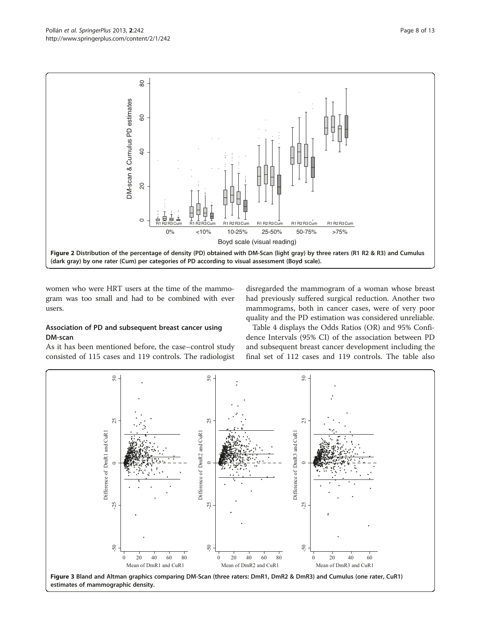<span id="page-7-0"></span>

women who were HRT users at the time of the mammogram was too small and had to be combined with ever users.

## Association of PD and subsequent breast cancer using DM-scan

As it has been mentioned before, the case–control study consisted of 115 cases and 119 controls. The radiologist

disregarded the mammogram of a woman whose breast had previously suffered surgical reduction. Another two mammograms, both in cancer cases, were of very poor quality and the PD estimation was considered unreliable.

Table [4](#page-9-0) displays the Odds Ratios (OR) and 95% Confidence Intervals (95% CI) of the association between PD and subsequent breast cancer development including the final set of 112 cases and 119 controls. The table also



estimates of mammographic density.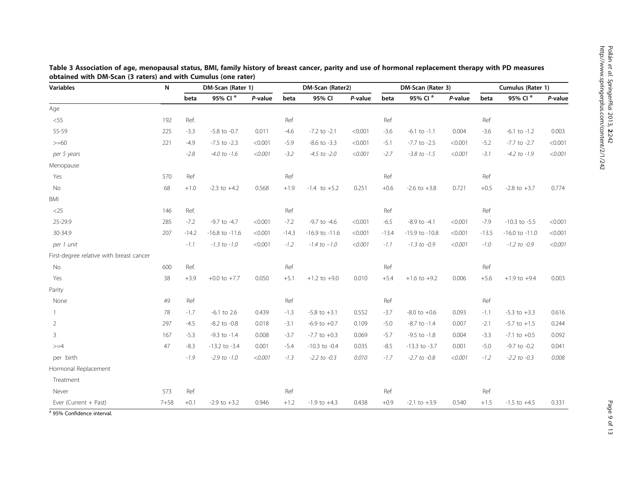| N        | DM-Scan (Rater 1) |                     | DM-Scan (Rater2) |         | DM-Scan (Rater 3)  |         |         | Cumulus (Rater 1)   |         |         |                     |         |
|----------|-------------------|---------------------|------------------|---------|--------------------|---------|---------|---------------------|---------|---------|---------------------|---------|
|          | beta              | 95% Cl <sup>a</sup> | P-value          | beta    | 95% CI             | P-value | beta    | 95% Cl <sup>a</sup> | P-value | beta    | 95% Cl <sup>a</sup> | P-value |
|          |                   |                     |                  |         |                    |         |         |                     |         |         |                     |         |
| 192      | Ref.              |                     |                  | Ref     |                    |         | Ref     |                     |         | Ref     |                     |         |
| 225      | $-3.3$            | $-5.8$ to $-0.7$    | 0.011            | $-4.6$  | $-7.2$ to $-2.1$   | < 0.001 | $-3.6$  | $-6.1$ to $-1.1$    | 0.004   | $-3.6$  | $-6.1$ to $-1.2$    | 0.003   |
| 221      | $-4.9$            | $-7.5$ to $-2.3$    | < 0.001          | $-5.9$  | $-8.6$ to $-3.3$   | < 0.001 | $-5.1$  | $-7.7$ to $-2.5$    | < 0.001 | $-5.2$  | $-7.7$ to $-2.7$    | < 0.001 |
|          | $-2.8$            | $-4.0$ to $-1.6$    | < 0.001          | $-3.2$  | $-4.5$ to $-2.0$   | < 0.001 | $-2.7$  | $-3.8$ to $-1.5$    | < 0.001 | $-3.1$  | $-4.2$ to $-1.9$    | < 0.001 |
|          |                   |                     |                  |         |                    |         |         |                     |         |         |                     |         |
| 570      | Ref               |                     |                  | Ref     |                    |         | Ref     |                     |         | Ref     |                     |         |
| 68       | $+1.0$            | $-2.3$ to $+4.2$    | 0.568            | $+1.9$  | $-1.4$ to $+5.2$   | 0.251   | $+0.6$  | $-2.6$ to $+3.8$    | 0.721   | $+0.5$  | $-2.8$ to $+3.7$    | 0.774   |
|          |                   |                     |                  |         |                    |         |         |                     |         |         |                     |         |
| 146      | Ref.              |                     |                  | Ref     |                    |         | Ref     |                     |         | Ref     |                     |         |
| 285      | $-7.2$            | -9.7 to -4.7        | < 0.001          | $-7.2$  | $-9.7$ to $-4.6$   | < 0.001 | $-6.5$  | $-8.9$ to $-4.1$    | < 0.001 | $-7.9$  | $-10.3$ to $-5.5$   | < 0.001 |
| 207      | $-14.2$           | $-16.8$ to $-11.6$  | < 0.001          | $-14.3$ | $-16.9$ to $-11.6$ | < 0.001 | $-13.4$ | $-15.9$ to $-10.8$  | < 0.001 | $-13.5$ | $-16.0$ to $-11.0$  | < 0.001 |
|          | $-1.1$            | $-1.3$ to $-1.0$    | < 0.001          | $-1.2$  | $-1.4$ to $-1.0$   | < 0.001 | $-1.1$  | $-1.3$ to $-0.9$    | < 0.001 | $-1.0$  | $-1.2$ to $-0.9$    | < 0.001 |
|          |                   |                     |                  |         |                    |         |         |                     |         |         |                     |         |
| 600      | Ref.              |                     |                  | Ref     |                    |         | Ref     |                     |         | Ref     |                     |         |
| 38       | $+3.9$            | $+0.0$ to $+7.7$    | 0.050            | $+5.1$  | $+1.2$ to $+9.0$   | 0.010   | $+5.4$  | $+1.6$ to $+9.2$    | 0.006   | $+5.6$  | $+1.9$ to $+9.4$    | 0.003   |
|          |                   |                     |                  |         |                    |         |         |                     |         |         |                     |         |
| 49       | Ref               |                     |                  | Ref     |                    |         | Ref     |                     |         | Ref     |                     |         |
| 78       | $-1.7$            | $-6.1$ to 2.6       | 0.439            | $-1.3$  | $-5.8$ to $+3.1$   | 0.552   | $-3.7$  | $-8.0$ to $+0.6$    | 0.093   | $-1.1$  | $-5.3$ to $+3.3$    | 0.616   |
| 297      | $-4.5$            | $-8.2$ to $-0.8$    | 0.018            | $-3.1$  | $-6.9$ to $+0.7$   | 0.109   | $-5.0$  | $-8.7$ to $-1.4$    | 0.007   | $-2.1$  | $-5.7$ to $+1.5$    | 0.244   |
| 167      | $-5.3$            | $-9.3$ to $-1.4$    | 0.008            | $-3.7$  | $-7.7$ to $+0.3$   | 0.069   | $-5.7$  | $-9.5$ to $-1.8$    | 0.004   | $-3.3$  | $-7.1$ to $+0.5$    | 0.092   |
| 47       | $-8.3$            | $-13.2$ to $-3.4$   | 0.001            | $-5.4$  | $-10.3$ to $-0.4$  | 0.035   | $-8.5$  | $-13.3$ to $-3.7$   | 0.001   | $-5.0$  | $-9.7$ to $-0.2$    | 0.041   |
|          | $-1.9$            | $-2.9$ to $-1.0$    | < 0.001          | $-1.3$  | $-2.2$ to $-0.3$   | 0.010   | $-1.7$  | $-2.7$ to $-0.8$    | < 0.001 | $-1.2$  | $-2.2$ to $-0.3$    | 0.008   |
|          |                   |                     |                  |         |                    |         |         |                     |         |         |                     |         |
|          |                   |                     |                  |         |                    |         |         |                     |         |         |                     |         |
| 573      | Ref               |                     |                  | Ref     |                    |         | Ref     |                     |         | Ref     |                     |         |
| $7 + 58$ | $+0.1$            | $-2.9$ to $+3.2$    | 0.946            | $+1.2$  | $-1.9$ to $+4.3$   | 0.438   | $+0.9$  | $-2.1$ to $+3.9$    | 0.540   | $+1.5$  | $-1.5$ to $+4.5$    | 0.331   |
|          |                   |                     |                  |         |                    |         |         |                     |         |         |                     |         |

<span id="page-8-0"></span>

| Table 3 Association of age, menopausal status, BMI, family history of breast cancer, parity and use of hormonal replacement therapy with PD measures |  |  |
|------------------------------------------------------------------------------------------------------------------------------------------------------|--|--|
| obtained with DM-Scan (3 raters) and with Cumulus (one rater)                                                                                        |  |  |

Page 9 of 13

<sup>a</sup> 95% Confidence interval.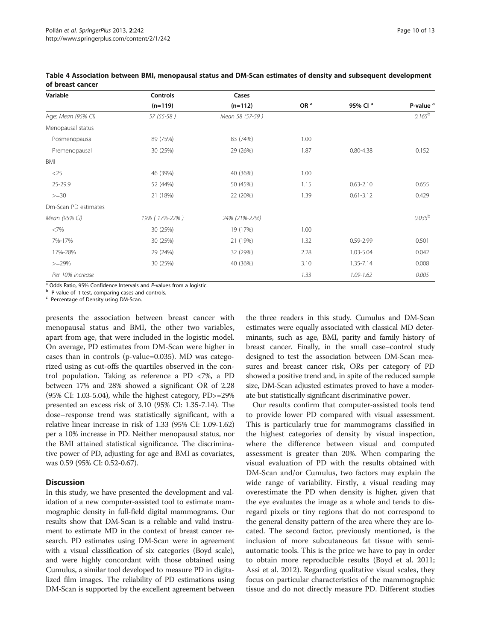| Variable             | <b>Controls</b> | Cases           |                 |                     |                      |  |
|----------------------|-----------------|-----------------|-----------------|---------------------|----------------------|--|
|                      | $(n=119)$       | $(n=112)$       | OR <sup>a</sup> | 95% Cl <sup>a</sup> | P-value <sup>a</sup> |  |
| Age: Mean (95% CI)   | 57 (55-58)      | Mean 58 (57-59) |                 |                     | $0.165^{\rm b}$      |  |
| Menopausal status    |                 |                 |                 |                     |                      |  |
| Posmenopausal        | 89 (75%)        | 83 (74%)        | 1.00            |                     |                      |  |
| Premenopausal        | 30 (25%)        | 29 (26%)        | 1.87            | $0.80 - 4.38$       | 0.152                |  |
| BMI                  |                 |                 |                 |                     |                      |  |
| $<$ 25               | 46 (39%)        | 40 (36%)        | 1.00            |                     |                      |  |
| 25-29.9              | 52 (44%)        | 50 (45%)        | 1.15            | $0.63 - 2.10$       | 0.655                |  |
| $>=30$               | 21 (18%)        | 22 (20%)        | 1.39            | $0.61 - 3.12$       | 0.429                |  |
| Dm-Scan PD estimates |                 |                 |                 |                     |                      |  |
| Mean (95% CI)        | 19% (17%-22%)   | 24% (21%-27%)   |                 |                     | 0.035 <sup>b</sup>   |  |
| <7%                  | 30 (25%)        | 19 (17%)        | 1.00            |                     |                      |  |
| 7%-17%               | 30 (25%)        | 21 (19%)        | 1.32            | 0.59-2.99           | 0.501                |  |
| 17%-28%              | 29 (24%)        | 32 (29%)        | 2.28            | 1.03-5.04           | 0.042                |  |
| $>=29%$              | 30 (25%)        | 40 (36%)        | 3.10            | 1.35-7.14           | 0.008                |  |
| Per 10% increase     |                 |                 | 1.33            | $1.09 - 1.62$       | 0.005                |  |

<span id="page-9-0"></span>Table 4 Association between BMI, menopausal status and DM-Scan estimates of density and subsequent development of breast cancer

 $\frac{a}{\sqrt{2}}$  Odds Ratio, 95% Confidence Intervals and *P*-values from a logistic.<br>
<sup>b</sup> P-value of t-test, comparing cases and controls.<br>
<sup>c</sup> Percentage of Density using DM-Scan.

presents the association between breast cancer with menopausal status and BMI, the other two variables, apart from age, that were included in the logistic model. On average, PD estimates from DM-Scan were higher in cases than in controls (p-value=0.035). MD was categorized using as cut-offs the quartiles observed in the control population. Taking as reference a PD <7%, a PD between 17% and 28% showed a significant OR of 2.28 (95% CI: 1.03-5.04), while the highest category, PD>=29% presented an excess risk of 3.10 (95% CI: 1.35-7.14). The dose–response trend was statistically significant, with a relative linear increase in risk of 1.33 (95% CI: 1.09-1.62) per a 10% increase in PD. Neither menopausal status, nor the BMI attained statistical significance. The discriminative power of PD, adjusting for age and BMI as covariates, was 0.59 (95% CI: 0.52-0.67).

#### **Discussion**

In this study, we have presented the development and validation of a new computer-assisted tool to estimate mammographic density in full-field digital mammograms. Our results show that DM-Scan is a reliable and valid instrument to estimate MD in the context of breast cancer research. PD estimates using DM-Scan were in agreement with a visual classification of six categories (Boyd scale), and were highly concordant with those obtained using Cumulus, a similar tool developed to measure PD in digitalized film images. The reliability of PD estimations using DM-Scan is supported by the excellent agreement between

the three readers in this study. Cumulus and DM-Scan estimates were equally associated with classical MD determinants, such as age, BMI, parity and family history of breast cancer. Finally, in the small case–control study designed to test the association between DM-Scan measures and breast cancer risk, ORs per category of PD showed a positive trend and, in spite of the reduced sample size, DM-Scan adjusted estimates proved to have a moderate but statistically significant discriminative power.

Our results confirm that computer-assisted tools tend to provide lower PD compared with visual assessment. This is particularly true for mammograms classified in the highest categories of density by visual inspection, where the difference between visual and computed assessment is greater than 20%. When comparing the visual evaluation of PD with the results obtained with DM-Scan and/or Cumulus, two factors may explain the wide range of variability. Firstly, a visual reading may overestimate the PD when density is higher, given that the eye evaluates the image as a whole and tends to disregard pixels or tiny regions that do not correspond to the general density pattern of the area where they are located. The second factor, previously mentioned, is the inclusion of more subcutaneous fat tissue with semiautomatic tools. This is the price we have to pay in order to obtain more reproducible results (Boyd et al. [2011](#page-11-0); Assi et al. [2012\)](#page-11-0). Regarding qualitative visual scales, they focus on particular characteristics of the mammographic tissue and do not directly measure PD. Different studies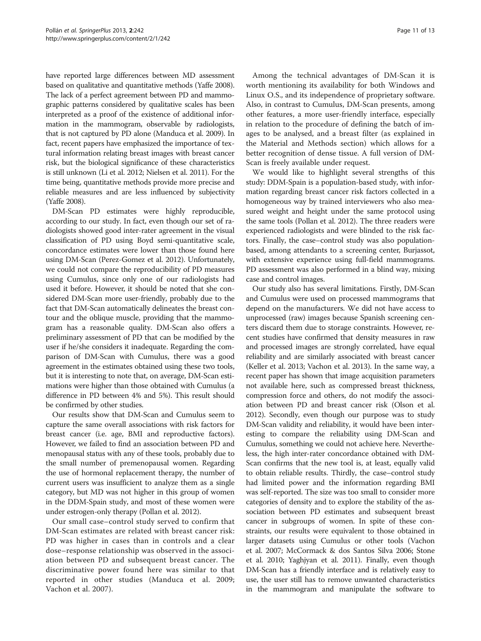have reported large differences between MD assessment based on qualitative and quantitative methods (Yaffe [2008](#page-12-0)). The lack of a perfect agreement between PD and mammographic patterns considered by qualitative scales has been interpreted as a proof of the existence of additional information in the mammogram, observable by radiologists, that is not captured by PD alone (Manduca et al. [2009\)](#page-11-0). In fact, recent papers have emphasized the importance of textural information relating breast images with breast cancer risk, but the biological significance of these characteristics is still unknown (Li et al. [2012](#page-11-0); Nielsen et al. [2011\)](#page-11-0). For the time being, quantitative methods provide more precise and reliable measures and are less influenced by subjectivity (Yaffe [2008\)](#page-12-0).

DM-Scan PD estimates were highly reproducible, according to our study. In fact, even though our set of radiologists showed good inter-rater agreement in the visual classification of PD using Boyd semi-quantitative scale, concordance estimates were lower than those found here using DM-Scan (Perez-Gomez et al. [2012](#page-11-0)). Unfortunately, we could not compare the reproducibility of PD measures using Cumulus, since only one of our radiologists had used it before. However, it should be noted that she considered DM-Scan more user-friendly, probably due to the fact that DM-Scan automatically delineates the breast contour and the oblique muscle, providing that the mammogram has a reasonable quality. DM-Scan also offers a preliminary assessment of PD that can be modified by the user if he/she considers it inadequate. Regarding the comparison of DM-Scan with Cumulus, there was a good agreement in the estimates obtained using these two tools, but it is interesting to note that, on average, DM-Scan estimations were higher than those obtained with Cumulus (a difference in PD between 4% and 5%). This result should be confirmed by other studies.

Our results show that DM-Scan and Cumulus seem to capture the same overall associations with risk factors for breast cancer (i.e. age, BMI and reproductive factors). However, we failed to find an association between PD and menopausal status with any of these tools, probably due to the small number of premenopausal women. Regarding the use of hormonal replacement therapy, the number of current users was insufficient to analyze them as a single category, but MD was not higher in this group of women in the DDM-Spain study, and most of these women were under estrogen-only therapy (Pollan et al. [2012\)](#page-11-0).

Our small case–control study served to confirm that DM-Scan estimates are related with breast cancer risk: PD was higher in cases than in controls and a clear dose–response relationship was observed in the association between PD and subsequent breast cancer. The discriminative power found here was similar to that reported in other studies (Manduca et al. [2009](#page-11-0); Vachon et al. [2007\)](#page-12-0).

Among the technical advantages of DM-Scan it is worth mentioning its availability for both Windows and Linux O.S., and its independence of proprietary software. Also, in contrast to Cumulus, DM-Scan presents, among other features, a more user-friendly interface, especially in relation to the procedure of defining the batch of images to be analysed, and a breast filter (as explained in the [Material and Methods](#page-1-0) section) which allows for a better recognition of dense tissue. A full version of DM-Scan is freely available under request.

We would like to highlight several strengths of this study: DDM-Spain is a population-based study, with information regarding breast cancer risk factors collected in a homogeneous way by trained interviewers who also measured weight and height under the same protocol using the same tools (Pollan et al. [2012\)](#page-11-0). The three readers were experienced radiologists and were blinded to the risk factors. Finally, the case–control study was also populationbased, among attendants to a screening center, Burjassot, with extensive experience using full-field mammograms. PD assessment was also performed in a blind way, mixing case and control images.

Our study also has several limitations. Firstly, DM-Scan and Cumulus were used on processed mammograms that depend on the manufacturers. We did not have access to unprocessed (raw) images because Spanish screening centers discard them due to storage constraints. However, recent studies have confirmed that density measures in raw and processed images are strongly correlated, have equal reliability and are similarly associated with breast cancer (Keller et al. [2013;](#page-11-0) Vachon et al. [2013](#page-12-0)). In the same way, a recent paper has shown that image acquisition parameters not available here, such as compressed breast thickness, compression force and others, do not modify the association between PD and breast cancer risk (Olson et al. [2012](#page-11-0)). Secondly, even though our purpose was to study DM-Scan validity and reliability, it would have been interesting to compare the reliability using DM-Scan and Cumulus, something we could not achieve here. Nevertheless, the high inter-rater concordance obtained with DM-Scan confirms that the new tool is, at least, equally valid to obtain reliable results. Thirdly, the case–control study had limited power and the information regarding BMI was self-reported. The size was too small to consider more categories of density and to explore the stability of the association between PD estimates and subsequent breast cancer in subgroups of women. In spite of these constraints, our results were equivalent to those obtained in larger datasets using Cumulus or other tools (Vachon et al. [2007](#page-12-0); McCormack & dos Santos Silva [2006;](#page-11-0) Stone et al. [2010](#page-11-0); Yaghjyan et al. [2011](#page-12-0)). Finally, even though DM-Scan has a friendly interface and is relatively easy to use, the user still has to remove unwanted characteristics in the mammogram and manipulate the software to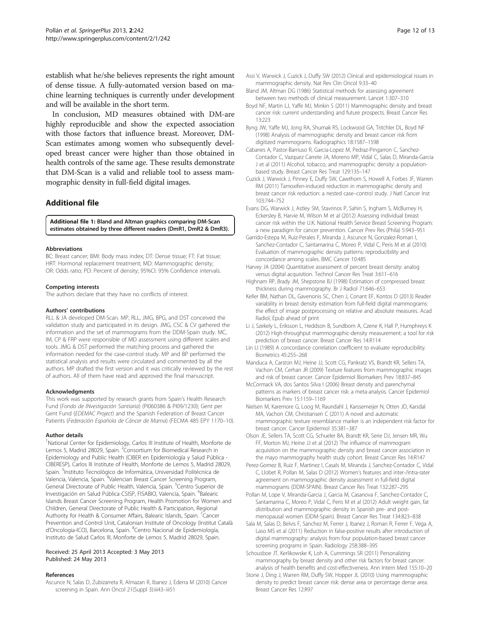<span id="page-11-0"></span>establish what he/she believes represents the right amount of dense tissue. A fully-automated version based on machine learning techniques is currently under development and will be available in the short term.

In conclusion, MD measures obtained with DM-are highly reproducible and show the expected association with those factors that influence breast. Moreover, DM-Scan estimates among women who subsequently developed breast cancer were higher than those obtained in health controls of the same age. These results demonstrate that DM-Scan is a valid and reliable tool to assess mammographic density in full-field digital images.

# Additional file

[Additional file 1:](http://www.biomedcentral.com/content/supplementary/2193-1801-2-242-S1.ppt) Bland and Altman graphics comparing DM-Scan estimates obtained by three different readers (DmR1, DmR2 & DmR3).

#### Abbreviations

BC: Breast cancer; BMI: Body mass index; DT: Dense tissue; FT: Fat tissue; HRT: Hormonal replacement treatment; MD: Mammographic density; OR: Odds ratio; PD: Percent of density; 95%CI: 95% Confidence intervals.

#### Competing interests

The authors declare that they have no conflicts of interest.

#### Authors' contributions

RLL & JA developed DM-Scan. MP, RLL, JMG, BPG, and DST conceived the validation study and participated in its design. JMG, CSC & CV gathered the information and the set of mammograms from the DDM-Spain study. MC, IM, CP & FRP were responsible of MD assessment using different scales and tools. JMG & DST performed the matching process and gathered the information needed for the case-control study. MP and BP performed the statistical analysis and results were circulated and commented by all the authors. MP drafted the first version and it was critically reviewed by the rest of authors. All of them have read and approved the final manuscript.

#### Acknowledgments

This work was supported by research grants from Spain's Health Research Fund (Fondo de INvestigación Santiaria) (PI060386 & PI09/1230); Gent per Gent Fund (EDEMAC Project) and the Spanish Federation of Breast Cancer Patients (Federación Española de Cáncer de Mama) (FECMA 485 EPY 1170–10).

#### Author details

<sup>1</sup>National Center for Epidemiology, Carlos III Institute of Health, Monforte de Lemos 5, Madrid 28029, Spain. <sup>2</sup> Consortium for Biomedical Research in Epidemiology and Public Health (CIBER en Epidemiología y Salud Pública - CIBERESP), Carlos III Institute of Health, Monforte de Lemos 5, Madrid 28029, Spain. <sup>3</sup>Instituto Tecnológico de Informática, Universidad Politécnica de Valencia, Valencia, Spain. <sup>4</sup>Valencian Breast Cancer Screening Program, General Directorate of Public Health, Valencia, Spain. <sup>5</sup>Centro Superior de Investigación en Salud Pública CSISP, FISABIO, Valencia, Spain. <sup>6</sup>Balearic Islands Breast Cancer Screening Program, Health Promotion for Women and Children, General Directorate of Public Health & Participation, Regional Authority for Health & Consumer Affairs, Balearic Islands, Spain. <sup>7</sup>Cancer Prevention and Control Unit, Catalonian Institute of Oncology (Institut Català d'Oncologia-ICO), Barcelona, Spain. <sup>8</sup>Centro Nacional de Epidemiología, Instituto de Salud Carlos III, Monforte de Lemos 5, Madrid 28029, Spain.

Received: 25 April 2013 Accepted: 3 May 2013 Published: 24 May 2013

#### References

Ascunce N, Salas D, Zubizarreta R, Almazan R, Ibanez J, Ederra M (2010) Cancer screening in Spain. Ann Oncol 21(Suppl 3):iii43–iii51

- Assi V, Warwick J, Cuzick J, Duffy SW (2012) Clinical and epidemiological issues in mammographic density. Nat Rev Clin Oncol 9:33–40
- Bland JM, Altman DG (1986) Statistical methods for assessing agreement between two methods of clinical measurement. Lancet 1:307–310
- Boyd NF, Martin LJ, Yaffe MJ, Minkin S (2011) Mammographic density and breast cancer risk: current understanding and future prospects. Breast Cancer Res 13:223
- Byng JW, Yaffe MJ, Jong RA, Shumak RS, Lockwood GA, Tritchler DL, Boyd NF (1998) Analysis of mammographic density and breast cancer risk from digitized mammograms. Radiographics 18:1587–1598
- Cabanes A, Pastor-Barriuso R, Garcia-Lopez M, Pedraz-Pingarron C, Sanchez-Contador C, Vazquez Carrete JA, Moreno MP, Vidal C, Salas D, Miranda-Garcia J et al (2011) Alcohol, tobacco, and mammographic density: a populationbased study. Breast Cancer Res Treat 129:135–147
- Cuzick J, Warwick J, Pinney E, Duffy SW, Cawthorn S, Howell A, Forbes JF, Warren RM (2011) Tamoxifen-induced reduction in mammographic density and breast cancer risk reduction: a nested case–control study. J Natl Cancer Inst 103:744–752
- Evans DG, Warwick J, Astley SM, Stavrinos P, Sahin S, Ingham S, McBurney H, Eckersley B, Harvie M, Wilson M et al (2012) Assessing individual breast cancer risk within the U.K. National Health Service Breast Screening Program: a new paradigm for cancer prevention. Cancer Prev Res (Phila) 5:943–951
- Garrido-Estepa M, Ruiz-Perales F, Miranda J, Ascunce N, Gonzalez-Roman I, Sanchez-Contador C, Santamarina C, Moreo P, Vidal C, Peris M et al (2010) Evaluation of mammographic density patterns: reproducibility and concordance among scales. BMC Cancer 10:485
- Harvey JA (2004) Quantitative assessment of percent breast density: analog versus digital acquisition. Technol Cancer Res Treat 3:611–616
- Highnam RP, Brady JM, Shepstone BJ (1998) Estimation of compressed breast thickness during mammography. Br J Radiol 71:646–653
- Keller BM, Nathan DL, Gavenonis SC, Chen J, Conant EF, Kontos D (2013) Reader variability in breast density estimation from full-field digital mammograms: the effect of image postprocessing on relative and absolute measures. Acad Radiol, Epub ahead of print
- Li J, Szekely L, Eriksson L, Heddson B, Sundbom A, Czene K, Hall P, Humphreys K (2012) High-throughput mammographic-density measurement: a tool for risk prediction of breast cancer. Breast Cancer Res 14:R114
- Lin LI (1989) A concordance correlation coefficient to evaluate reproducibility. Biometrics 45:255–268
- Manduca A, Carston MJ, Heine JJ, Scott CG, Pankratz VS, Brandt KR, Sellers TA, Vachon CM, Cerhan JR (2009) Texture features from mammographic images and risk of breast cancer. Cancer Epidemiol Biomarkers Prev 18:837–845
- McCormack VA, dos Santos Silva I (2006) Breast density and parenchymal patterns as markers of breast cancer risk: a meta-analysis. Cancer Epidemiol Biomarkers Prev 15:1159–1169
- Nielsen M, Karemore G, Loog M, Raundahl J, Karssemeijer N, Otten JD, Karsdal MA, Vachon CM, Christiansen C (2011) A novel and automatic mammographic texture resemblance marker is an independent risk factor for breast cancer. Cancer Epidemiol 35:381–387
- Olson JE, Sellers TA, Scott CG, Schueler BA, Brandt KR, Serie DJ, Jensen MR, Wu FF, Morton MJ, Heine JJ et al (2012) The influence of mammogram acquisition on the mammographic density and breast cancer association in the mayo mammography health study cohort. Breast Cancer Res 14:R147
- Perez-Gomez B, Ruiz F, Martinez I, Casals M, Miranda J, Sanchez-Contador C, Vidal C, Llobet R, Pollan M, Salas D (2012) Women's features and inter-/intra-rater agreement on mammographic density assessment in full-field digital mammograms (DDM-SPAIN). Breast Cancer Res Treat 132:287–295
- Pollan M, Lope V, Miranda-Garcia J, Garcia M, Casanova F, Sanchez-Contador C, Santamarina C, Moreo P, Vidal C, Peris M et al (2012) Adult weight gain, fat distribution and mammographic density in Spanish pre- and postmenopausal women (DDM-Spain). Breast Cancer Res Treat 134:823–838
- Sala M, Salas D, Belvis F, Sanchez M, Ferrer J, Ibanez J, Roman R, Ferrer F, Vega A, Laso MS et al (2011) Reduction in false-positive results after introduction of digital mammography: analysis from four population-based breast cancer screening programs in Spain. Radiology 258:388–395
- Schousboe JT, Kerlikowske K, Loh A, Cummings SR (2011) Personalizing mammography by breast density and other risk factors for breast cancer: analysis of health benefits and cost-effectiveness. Ann Intern Med 155:10–20
- Stone J, Ding J, Warren RM, Duffy SW, Hopper JL (2010) Using mammographic density to predict breast cancer risk: dense area or percentage dense area. Breast Cancer Res 12:R97